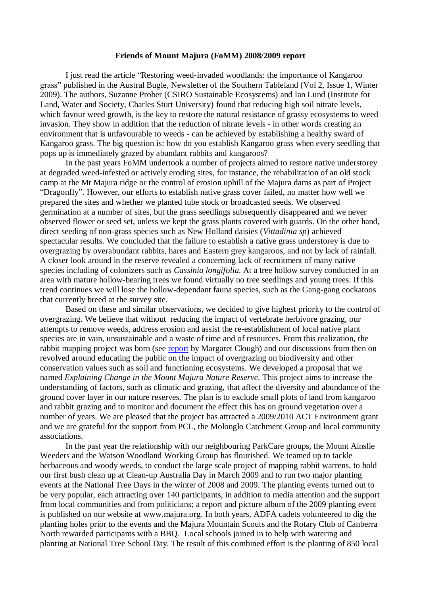## **Friends of Mount Majura (FoMM) 2008/2009 report**

I just read the article "Restoring weed-invaded woodlands: the importance of Kangaroo grass" published in the Austral Bugle, Newsletter of the Southern Tableland (Vol 2, Issue 1, Winter 2009). The authors, Suzanne Prober (CSIRO Sustainable Ecosystems) and Ian Lund (Institute for Land, Water and Society, Charles Sturt University) found that reducing high soil nitrate levels, which favour weed growth, is the key to restore the natural resistance of grassy ecosystems to weed invasion. They show in addition that the reduction of nitrate levels - in other words creating an environment that is unfavourable to weeds - can be achieved by establishing a healthy sward of Kangaroo grass. The big question is: how do you establish Kangaroo grass when every seedling that pops up is immediately grazed by abundant rabbits and kangaroos?

In the past years FoMM undertook a number of projects aimed to restore native understorey at degraded weed-infested or actively eroding sites, for instance, the rehabilitation of an old stock camp at the Mt Majura ridge or the control of erosion uphill of the Majura dams as part of Project "Dragonfly". However, our efforts to establish native grass cover failed, no matter how well we prepared the sites and whether we planted tube stock or broadcasted seeds. We observed germination at a number of sites, but the grass seedlings subsequently disappeared and we never observed flower or seed set, unless we kept the grass plants covered with guards. On the other hand, direct seeding of non-grass species such as New Holland daisies (*Vittadinia sp*) achieved spectacular results. We concluded that the failure to establish a native grass understorey is due to overgrazing by overabundant rabbits, hares and Eastern grey kangaroos, and not by lack of rainfall. A closer look around in the reserve revealed a concerning lack of recruitment of many native species including of colonizers such as *Cassinia longifolia*. At a tree hollow survey conducted in an area with mature hollow-bearing trees we found virtually no tree seedlings and young trees. If this trend continues we will lose the hollow-dependant fauna species, such as the Gang-gang cockatoos that currently breed at the survey site.

Based on these and similar observations, we decided to give highest priority to the control of overgrazing. We believe that without reducing the impact of vertebrate herbivore grazing, our attempts to remove weeds, address erosion and assist the re-establishment of local native plant species are in vain, unsustainable and a waste of time and of resources. From this realization, the rabbit mapping project was born (see [report](http://majura.org/2009/10/05/report-rabbit-warren-mapping-200809/) by Margaret Clough) and our discussions from then on revolved around educating the public on the impact of overgrazing on biodiversity and other conservation values such as soil and functioning ecosystems. We developed a proposal that we named *Explaining Change in the Mount Majura Nature Reserve*. This project aims to increase the understanding of factors, such as climatic and grazing, that affect the diversity and abundance of the ground cover layer in our nature reserves. The plan is to exclude small plots of land from kangaroo and rabbit grazing and to monitor and document the effect this has on ground vegetation over a number of years. We are pleased that the project has attracted a 2009/2010 ACT Environment grant and we are grateful for the support from PCL, the Molonglo Catchment Group and local community associations.

In the past year the relationship with our neighbouring ParkCare groups, the Mount Ainslie Weeders and the Watson Woodland Working Group has flourished. We teamed up to tackle herbaceous and woody weeds, to conduct the large scale project of mapping rabbit warrens, to hold our first bush clean up at Clean-up Australia Day in March 2009 and to run two major planting events at the National Tree Days in the winter of 2008 and 2009. The planting events turned out to be very popular, each attracting over 140 participants, in addition to media attention and the support from local communities and from politicians; a report and picture album of the 2009 planting event is published on our website at www.majura.org. In both years, ADFA cadets volunteered to dig the planting holes prior to the events and the Majura Mountain Scouts and the Rotary Club of Canberra North rewarded participants with a BBQ. Local schools joined in to help with watering and planting at National Tree School Day. The result of this combined effort is the planting of 850 local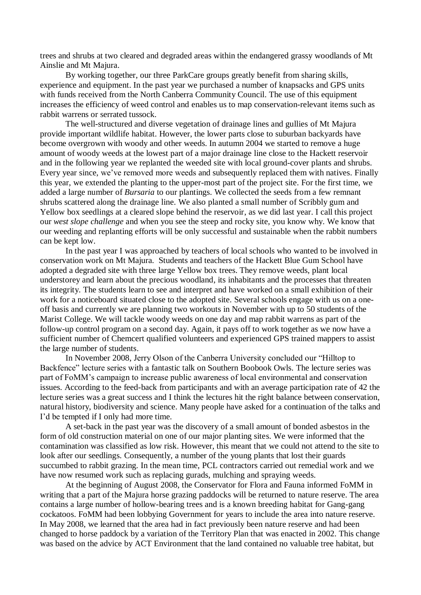trees and shrubs at two cleared and degraded areas within the endangered grassy woodlands of Mt Ainslie and Mt Majura.

By working together, our three ParkCare groups greatly benefit from sharing skills, experience and equipment. In the past year we purchased a number of knapsacks and GPS units with funds received from the North Canberra Community Council. The use of this equipment increases the efficiency of weed control and enables us to map conservation-relevant items such as rabbit warrens or serrated tussock.

The well-structured and diverse vegetation of drainage lines and gullies of Mt Majura provide important wildlife habitat. However, the lower parts close to suburban backyards have become overgrown with woody and other weeds. In autumn 2004 we started to remove a huge amount of woody weeds at the lowest part of a major drainage line close to the Hackett reservoir and in the following year we replanted the weeded site with local ground-cover plants and shrubs. Every year since, we've removed more weeds and subsequently replaced them with natives. Finally this year, we extended the planting to the upper-most part of the project site. For the first time, we added a large number of *Bursaria* to our plantings. We collected the seeds from a few remnant shrubs scattered along the drainage line. We also planted a small number of Scribbly gum and Yellow box seedlings at a cleared slope behind the reservoir, as we did last year. I call this project our *west slope challenge* and when you see the steep and rocky site, you know why. We know that our weeding and replanting efforts will be only successful and sustainable when the rabbit numbers can be kept low.

In the past year I was approached by teachers of local schools who wanted to be involved in conservation work on Mt Majura. Students and teachers of the Hackett Blue Gum School have adopted a degraded site with three large Yellow box trees. They remove weeds, plant local understorey and learn about the precious woodland, its inhabitants and the processes that threaten its integrity. The students learn to see and interpret and have worked on a small exhibition of their work for a noticeboard situated close to the adopted site. Several schools engage with us on a oneoff basis and currently we are planning two workouts in November with up to 50 students of the Marist College. We will tackle woody weeds on one day and map rabbit warrens as part of the follow-up control program on a second day. Again, it pays off to work together as we now have a sufficient number of Chemcert qualified volunteers and experienced GPS trained mappers to assist the large number of students.

In November 2008, Jerry Olson of the Canberra University concluded our "Hilltop to Backfence" lecture series with a fantastic talk on Southern Boobook Owls. The lecture series was part of FoMM's campaign to increase public awareness of local environmental and conservation issues. According to the feed-back from participants and with an average participation rate of 42 the lecture series was a great success and I think the lectures hit the right balance between conservation, natural history, biodiversity and science. Many people have asked for a continuation of the talks and I'd be tempted if I only had more time.

A set-back in the past year was the discovery of a small amount of bonded asbestos in the form of old construction material on one of our major planting sites. We were informed that the contamination was classified as low risk. However, this meant that we could not attend to the site to look after our seedlings. Consequently, a number of the young plants that lost their guards succumbed to rabbit grazing. In the mean time, PCL contractors carried out remedial work and we have now resumed work such as replacing gurads, mulching and spraying weeds.

At the beginning of August 2008, the Conservator for Flora and Fauna informed FoMM in writing that a part of the Majura horse grazing paddocks will be returned to nature reserve. The area contains a large number of hollow-bearing trees and is a known breeding habitat for Gang-gang cockatoos. FoMM had been lobbying Government for years to include the area into nature reserve. In May 2008, we learned that the area had in fact previously been nature reserve and had been changed to horse paddock by a variation of the Territory Plan that was enacted in 2002. This change was based on the advice by ACT Environment that the land contained no valuable tree habitat, but